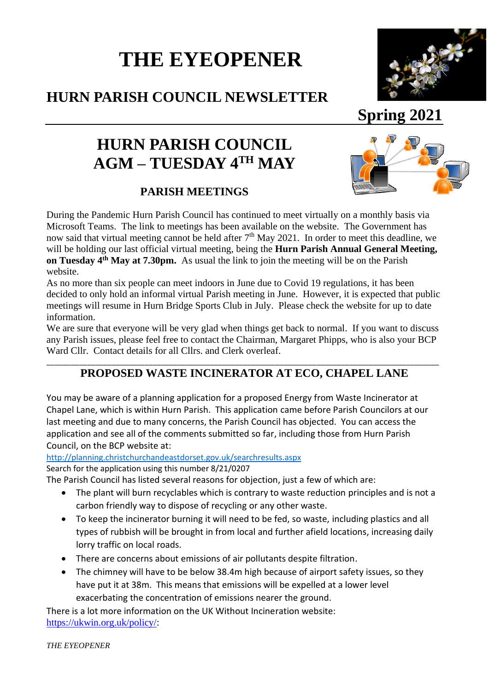# **THE EYEOPENER**

## **HURN PARISH COUNCIL NEWSLETTER**

## **Spring 2021**

## **HURN PARISH COUNCIL**  $\mathbf{AGM} - \mathbf{TUESDAY}$   $\mathbf{4^{TH}$   $\mathbf{MAY}}$

#### **PARISH MEETINGS**



During the Pandemic Hurn Parish Council has continued to meet virtually on a monthly basis via Microsoft Teams. The link to meetings has been available on the website. The Government has now said that virtual meeting cannot be held after  $7<sup>th</sup>$  May 2021. In order to meet this deadline, we will be holding our last official virtual meeting, being the **Hurn Parish Annual General Meeting, on Tuesday 4th May at 7.30pm.** As usual the link to join the meeting will be on the Parish website.

As no more than six people can meet indoors in June due to Covid 19 regulations, it has been decided to only hold an informal virtual Parish meeting in June. However, it is expected that public meetings will resume in Hurn Bridge Sports Club in July. Please check the website for up to date information.

We are sure that everyone will be very glad when things get back to normal. If you want to discuss any Parish issues, please feel free to contact the Chairman, Margaret Phipps, who is also your BCP Ward Cllr. Contact details for all Cllrs. and Clerk overleaf.

#### \_\_\_\_\_\_\_\_\_\_\_\_\_\_\_\_\_\_\_\_\_\_\_\_\_\_\_\_\_\_\_\_\_\_\_\_\_\_\_\_\_\_\_\_\_\_\_\_\_\_\_\_\_\_\_\_\_\_\_\_\_\_\_\_\_\_\_\_\_\_\_\_\_\_\_\_\_\_\_\_\_\_\_\_\_\_\_\_\_\_\_\_\_\_\_\_ **PROPOSED WASTE INCINERATOR AT ECO, CHAPEL LANE**

You may be aware of a planning application for a proposed Energy from Waste Incinerator at Chapel Lane, which is within Hurn Parish. This application came before Parish Councilors at our last meeting and due to many concerns, the Parish Council has objected. You can access the application and see all of the comments submitted so far, including those from Hurn Parish Council, on the BCP website at:

<http://planning.christchurchandeastdorset.gov.uk/searchresults.aspx>

Search for the application using this number 8/21/0207

The Parish Council has listed several reasons for objection, just a few of which are:

- The plant will burn recyclables which is contrary to waste reduction principles and is not a carbon friendly way to dispose of recycling or any other waste.
- To keep the incinerator burning it will need to be fed, so waste, including plastics and all types of rubbish will be brought in from local and further afield locations, increasing daily lorry traffic on local roads.
- There are concerns about emissions of air pollutants despite filtration.
- The chimney will have to be below 38.4m high because of airport safety issues, so they have put it at 38m. This means that emissions will be expelled at a lower level exacerbating the concentration of emissions nearer the ground.

There is a lot more information on the UK Without Incineration website: [https://ukwin.org.uk/policy/:](https://ukwin.org.uk/policy/)

*THE EYEOPENER*